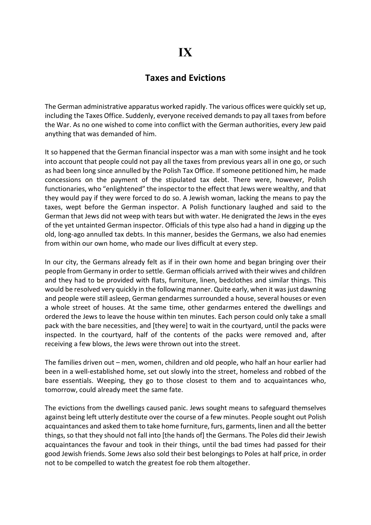## Taxes and Evictions

The German administrative apparatus worked rapidly. The various offices were quickly set up, including the Taxes Office. Suddenly, everyone received demands to pay all taxes from before the War. As no one wished to come into conflict with the German authorities, every Jew paid anything that was demanded of him.

It so happened that the German financial inspector was a man with some insight and he took into account that people could not pay all the taxes from previous years all in one go, or such as had been long since annulled by the Polish Tax Office. If someone petitioned him, he made concessions on the payment of the stipulated tax debt. There were, however, Polish functionaries, who "enlightened" the inspector to the effect that Jews were wealthy, and that they would pay if they were forced to do so. A Jewish woman, lacking the means to pay the taxes, wept before the German inspector. A Polish functionary laughed and said to the German that Jews did not weep with tears but with water. He denigrated the Jews in the eyes of the yet untainted German inspector. Officials of this type also had a hand in digging up the old, long-ago annulled tax debts. In this manner, besides the Germans, we also had enemies from within our own home, who made our lives difficult at every step.

In our city, the Germans already felt as if in their own home and began bringing over their people from Germany in order to settle. German officials arrived with their wives and children and they had to be provided with flats, furniture, linen, bedclothes and similar things. This would be resolved very quickly in the following manner. Quite early, when it was just dawning and people were still asleep, German gendarmes surrounded a house, several houses or even a whole street of houses. At the same time, other gendarmes entered the dwellings and ordered the Jews to leave the house within ten minutes. Each person could only take a small pack with the bare necessities, and [they were] to wait in the courtyard, until the packs were inspected. In the courtyard, half of the contents of the packs were removed and, after receiving a few blows, the Jews were thrown out into the street.

The families driven out – men, women, children and old people, who half an hour earlier had been in a well-established home, set out slowly into the street, homeless and robbed of the bare essentials. Weeping, they go to those closest to them and to acquaintances who, tomorrow, could already meet the same fate.

The evictions from the dwellings caused panic. Jews sought means to safeguard themselves against being left utterly destitute over the course of a few minutes. People sought out Polish acquaintances and asked them to take home furniture, furs, garments, linen and all the better things, so that they should not fall into [the hands of] the Germans. The Poles did their Jewish acquaintances the favour and took in their things, until the bad times had passed for their good Jewish friends. Some Jews also sold their best belongings to Poles at half price, in order not to be compelled to watch the greatest foe rob them altogether.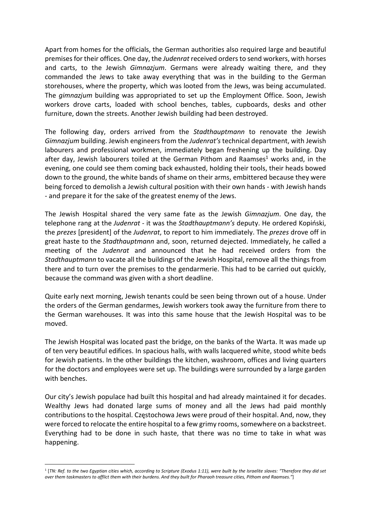Apart from homes for the officials, the German authorities also required large and beautiful premises for their offices. One day, the Judenrat received orders to send workers, with horses and carts, to the Jewish Gimnazjum. Germans were already waiting there, and they commanded the Jews to take away everything that was in the building to the German storehouses, where the property, which was looted from the Jews, was being accumulated. The gimnazjum building was appropriated to set up the Employment Office. Soon, Jewish workers drove carts, loaded with school benches, tables, cupboards, desks and other furniture, down the streets. Another Jewish building had been destroyed.

The following day, orders arrived from the Stadthauptmann to renovate the Jewish Gimnazjum building. Jewish engineers from the Judenrat's technical department, with Jewish labourers and professional workmen, immediately began freshening up the building. Day after day, Jewish labourers toiled at the German Pithom and Raamses<sup>1</sup> works and, in the evening, one could see them coming back exhausted, holding their tools, their heads bowed down to the ground, the white bands of shame on their arms, embittered because they were being forced to demolish a Jewish cultural position with their own hands - with Jewish hands - and prepare it for the sake of the greatest enemy of the Jews.

The Jewish Hospital shared the very same fate as the Jewish Gimnazjum. One day, the telephone rang at the Judenrat - it was the Stadthauptmann's deputy. He ordered Kopiński, the prezes [president] of the Judenrat, to report to him immediately. The prezes drove off in great haste to the *Stadthauptmann* and, soon, returned dejected. Immediately, he called a meeting of the Judenrat and announced that he had received orders from the Stadthauptmann to vacate all the buildings of the Jewish Hospital, remove all the things from there and to turn over the premises to the gendarmerie. This had to be carried out quickly, because the command was given with a short deadline.

Quite early next morning, Jewish tenants could be seen being thrown out of a house. Under the orders of the German gendarmes, Jewish workers took away the furniture from there to the German warehouses. It was into this same house that the Jewish Hospital was to be moved.

The Jewish Hospital was located past the bridge, on the banks of the Warta. It was made up of ten very beautiful edifices. In spacious halls, with walls lacquered white, stood white beds for Jewish patients. In the other buildings the kitchen, washroom, offices and living quarters for the doctors and employees were set up. The buildings were surrounded by a large garden with benches.

Our city's Jewish populace had built this hospital and had already maintained it for decades. Wealthy Jews had donated large sums of money and all the Jews had paid monthly contributions to the hospital. Częstochowa Jews were proud of their hospital. And, now, they were forced to relocate the entire hospital to a few grimy rooms, somewhere on a backstreet. Everything had to be done in such haste, that there was no time to take in what was happening.

<sup>1</sup> [TN: Ref. to the two Egyptian cities which, according to Scripture (Exodus 1:11), were built by the Israelite slaves: "Therefore they did set over them taskmasters to afflict them with their burdens. And they built for Pharaoh treasure cities, Pithom and Raamses."]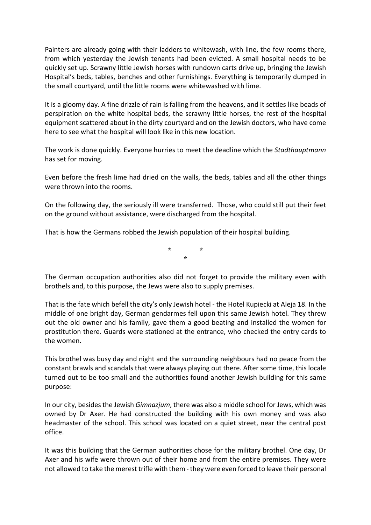Painters are already going with their ladders to whitewash, with line, the few rooms there, from which yesterday the Jewish tenants had been evicted. A small hospital needs to be quickly set up. Scrawny little Jewish horses with rundown carts drive up, bringing the Jewish Hospital's beds, tables, benches and other furnishings. Everything is temporarily dumped in the small courtyard, until the little rooms were whitewashed with lime.

It is a gloomy day. A fine drizzle of rain is falling from the heavens, and it settles like beads of perspiration on the white hospital beds, the scrawny little horses, the rest of the hospital equipment scattered about in the dirty courtyard and on the Jewish doctors, who have come here to see what the hospital will look like in this new location.

The work is done quickly. Everyone hurries to meet the deadline which the Stadthauptmann has set for moving.

Even before the fresh lime had dried on the walls, the beds, tables and all the other things were thrown into the rooms.

On the following day, the seriously ill were transferred. Those, who could still put their feet on the ground without assistance, were discharged from the hospital.

That is how the Germans robbed the Jewish population of their hospital building.

\* \* \*

The German occupation authorities also did not forget to provide the military even with brothels and, to this purpose, the Jews were also to supply premises.

That is the fate which befell the city's only Jewish hotel - the Hotel Kupiecki at Aleja 18. In the middle of one bright day, German gendarmes fell upon this same Jewish hotel. They threw out the old owner and his family, gave them a good beating and installed the women for prostitution there. Guards were stationed at the entrance, who checked the entry cards to the women.

This brothel was busy day and night and the surrounding neighbours had no peace from the constant brawls and scandals that were always playing out there. After some time, this locale turned out to be too small and the authorities found another Jewish building for this same purpose:

In our city, besides the Jewish Gimnazjum, there was also a middle school for Jews, which was owned by Dr Axer. He had constructed the building with his own money and was also headmaster of the school. This school was located on a quiet street, near the central post office.

It was this building that the German authorities chose for the military brothel. One day, Dr Axer and his wife were thrown out of their home and from the entire premises. They were not allowed to take the merest trifle with them - they were even forced to leave their personal